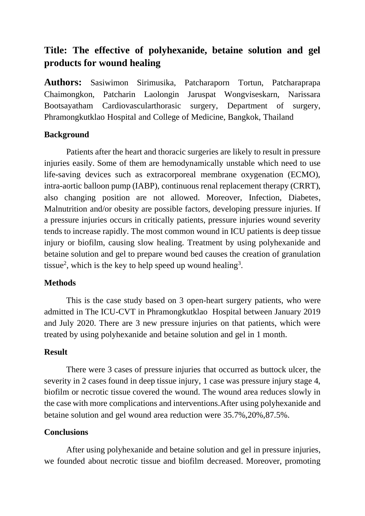# **Title: The effective of polyhexanide, betaine solution and gel products for wound healing**

**Authors:** Sasiwimon Sirimusika, Patcharaporn Tortun, Patcharaprapa Chaimongkon, Patcharin Laolongin Jaruspat Wongviseskarn, Narissara Bootsayatham Cardiovascularthorasic surgery, Department of surgery, Phramongkutklao Hospital and College of Medicine, Bangkok, Thailand

# **Background**

Patients after the heart and thoracic surgeries are likely to result in pressure injuries easily. Some of them are hemodynamically unstable which need to use life-saving devices such as extracorporeal membrane oxygenation (ECMO), intra-aortic balloon pump (IABP), continuous renal replacement therapy (CRRT), also changing position are not allowed. Moreover, Infection, Diabetes, Malnutrition and/or obesity are possible factors, developing pressure injuries. If a pressure injuries occurs in critically patients, pressure injuries wound severity tends to increase rapidly. The most common wound in ICU patients is deep tissue injury or biofilm, causing slow healing. Treatment by using polyhexanide and betaine solution and gel to prepare wound bed causes the creation of granulation tissue<sup>2</sup>, which is the key to help speed up wound healing<sup>3</sup>.

# **Methods**

This is the case study based on 3 open-heart surgery patients, who were admitted in The ICU-CVT in Phramongkutklao Hospital between January 2019 and July 2020. There are 3 new pressure injuries on that patients, which were treated by using polyhexanide and betaine solution and gel in 1 month.

#### **Result**

There were 3 cases of pressure injuries that occurred as buttock ulcer, the severity in 2 cases found in deep tissue injury, 1 case was pressure injury stage 4, biofilm or necrotic tissue covered the wound. The wound area reduces slowly in the case with more complications and interventions.After using polyhexanide and betaine solution and gel wound area reduction were 35.7%,20%,87.5%.

### **Conclusions**

After using polyhexanide and betaine solution and gel in pressure injuries, we founded about necrotic tissue and biofilm decreased. Moreover, promoting